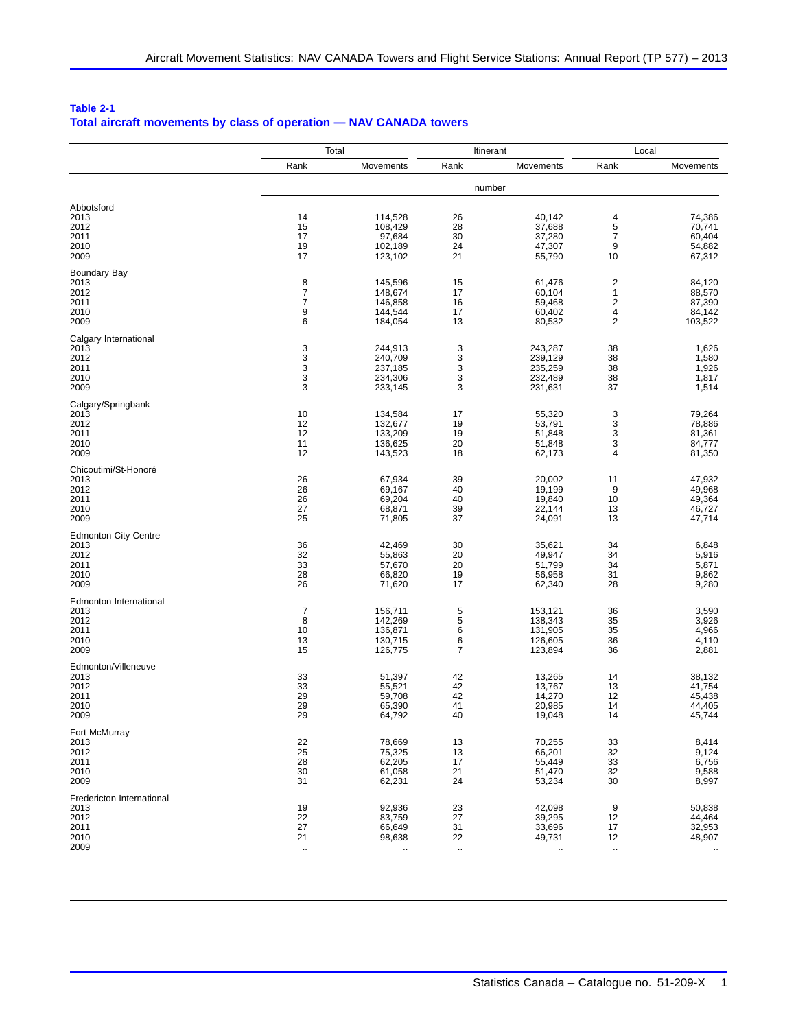| Table 2-1                                                          |  |
|--------------------------------------------------------------------|--|
| Total aircraft movements by class of operation - NAV CANADA towers |  |

|                             |                      | Total              |          | Itinerant            |                         | Local            |  |
|-----------------------------|----------------------|--------------------|----------|----------------------|-------------------------|------------------|--|
|                             | Rank                 | Movements          | Rank     | Movements            | Rank                    | Movements        |  |
|                             |                      |                    |          | number               |                         |                  |  |
| Abbotsford                  |                      |                    |          |                      |                         |                  |  |
| 2013                        | 14                   | 114,528            | 26       | 40,142               | 4                       | 74,386           |  |
| 2012                        | 15                   | 108,429            | 28       | 37,688               | 5                       | 70,741           |  |
| 2011                        | 17                   | 97,684             | 30       | 37,280               | $\overline{7}$          | 60,404           |  |
| 2010<br>2009                | 19<br>17             | 102,189<br>123,102 | 24<br>21 | 47,307<br>55,790     | 9<br>10                 | 54,882<br>67,312 |  |
| Boundary Bay                |                      |                    |          |                      |                         |                  |  |
| 2013                        | 8                    | 145,596            | 15       | 61,476               | $\overline{\mathbf{c}}$ | 84,120           |  |
| 2012                        | $\boldsymbol{7}$     | 148,674            | 17       | 60,104               | $\mathbf{1}$            | 88,570           |  |
| 2011                        | $\overline{7}$       | 146,858            | 16       | 59,468               | $\mathbf 2$             | 87,390           |  |
| 2010                        | 9                    | 144,544            | 17       | 60,402               | 4                       | 84,142           |  |
| 2009                        | 6                    | 184,054            | 13       | 80,532               | $\mathbf 2$             | 103,522          |  |
| Calgary International       |                      |                    |          |                      |                         |                  |  |
| 2013                        | 3                    | 244,913            | 3        | 243,287              | 38                      | 1,626            |  |
| 2012                        | 3                    | 240,709            | 3        | 239,129              | 38                      | 1,580            |  |
| 2011<br>2010                | 3<br>3               | 237,185<br>234,306 | 3<br>3   | 235,259<br>232,489   | 38<br>38                | 1,926<br>1,817   |  |
| 2009                        | 3                    | 233,145            | 3        | 231,631              | 37                      | 1,514            |  |
| Calgary/Springbank          |                      |                    |          |                      |                         |                  |  |
| 2013                        | 10                   | 134,584            | 17       | 55,320               | 3                       | 79,264           |  |
| 2012                        | 12                   | 132,677            | 19       | 53,791               | 3                       | 78,886           |  |
| 2011                        | 12                   | 133,209            | 19       | 51,848               | 3                       | 81,361           |  |
| 2010                        | 11                   | 136,625            | 20       | 51,848               | 3                       | 84,777           |  |
| 2009                        | 12                   | 143,523            | 18       | 62,173               | 4                       | 81,350           |  |
| Chicoutimi/St-Honoré        |                      |                    |          |                      |                         |                  |  |
| 2013                        | 26                   | 67,934             | 39       | 20,002               | 11                      | 47,932           |  |
| 2012                        | 26                   | 69,167             | 40       | 19,199               | 9                       | 49,968           |  |
| 2011<br>2010                | 26<br>27             | 69,204<br>68,871   | 40<br>39 | 19,840<br>22,144     | 10<br>13                | 49,364<br>46,727 |  |
| 2009                        | 25                   | 71,805             | 37       | 24,091               | 13                      | 47,714           |  |
| <b>Edmonton City Centre</b> |                      |                    |          |                      |                         |                  |  |
| 2013                        | 36                   | 42,469             | 30       | 35,621               | 34                      | 6,848            |  |
| 2012                        | 32                   | 55,863             | 20       | 49,947               | 34                      | 5,916            |  |
| 2011                        | 33                   | 57,670             | 20       | 51,799               | 34                      | 5,871            |  |
| 2010                        | 28                   | 66,820             | 19       | 56,958               | 31                      | 9,862            |  |
| 2009                        | 26                   | 71,620             | 17       | 62,340               | 28                      | 9,280            |  |
| Edmonton International      |                      |                    |          |                      |                         |                  |  |
| 2013                        | $\overline{7}$       | 156,711            | 5        | 153,121              | 36                      | 3,590            |  |
| 2012<br>2011                | 8<br>10              | 142,269<br>136,871 | 5<br>6   | 138,343<br>131,905   | 35<br>35                | 3,926<br>4,966   |  |
| 2010                        | 13                   | 130,715            | 6        | 126,605              | 36                      | 4,110            |  |
| 2009                        | 15                   | 126,775            | 7        | 123,894              | 36                      | 2,881            |  |
| Edmonton/Villeneuve         |                      |                    |          |                      |                         |                  |  |
| 2013                        | 33                   | 51,397             | 42       | 13,265               | 14                      | 38,132           |  |
| 2012                        | 33                   | 55,521             | 42       | 13,767               | 13                      | 41,754           |  |
| 2011                        | 29                   | 59,708             | 42       | 14,270               | 12                      | 45,438           |  |
| 2010<br>2009                | 29<br>29             | 65,390<br>64,792   | 41<br>40 | 20,985<br>19,048     | 14<br>14                | 44,405<br>45,744 |  |
|                             |                      |                    |          |                      |                         |                  |  |
| Fort McMurray<br>2013       | 22                   | 78,669             | 13       | 70,255               | 33                      | 8,414            |  |
| 2012                        | 25                   | 75,325             | 13       | 66,201               | 32                      | 9,124            |  |
| 2011                        | 28                   | 62,205             | 17       | 55,449               | 33                      | 6,756            |  |
| 2010                        | 30                   | 61,058             | 21       | 51,470               | 32                      | 9,588            |  |
| 2009                        | 31                   | 62,231             | 24       | 53,234               | 30                      | 8,997            |  |
| Fredericton International   | 19                   |                    |          |                      | 9                       | 50,838           |  |
| 2013<br>2012                | 22                   | 92,936<br>83,759   | 23<br>27 | 42,098<br>39,295     | 12                      | 44,464           |  |
| 2011                        | 27                   | 66,649             | 31       | 33,696               | 17                      | 32,953           |  |
| 2010                        | 21                   | 98,638             | 22       | 49,731               | 12                      | 48,907           |  |
| 2009                        | $\ddot{\phantom{0}}$ | $\ldots$           | $\ldots$ | $\ddot{\phantom{a}}$ | $\ldots$                |                  |  |
|                             |                      |                    |          |                      |                         |                  |  |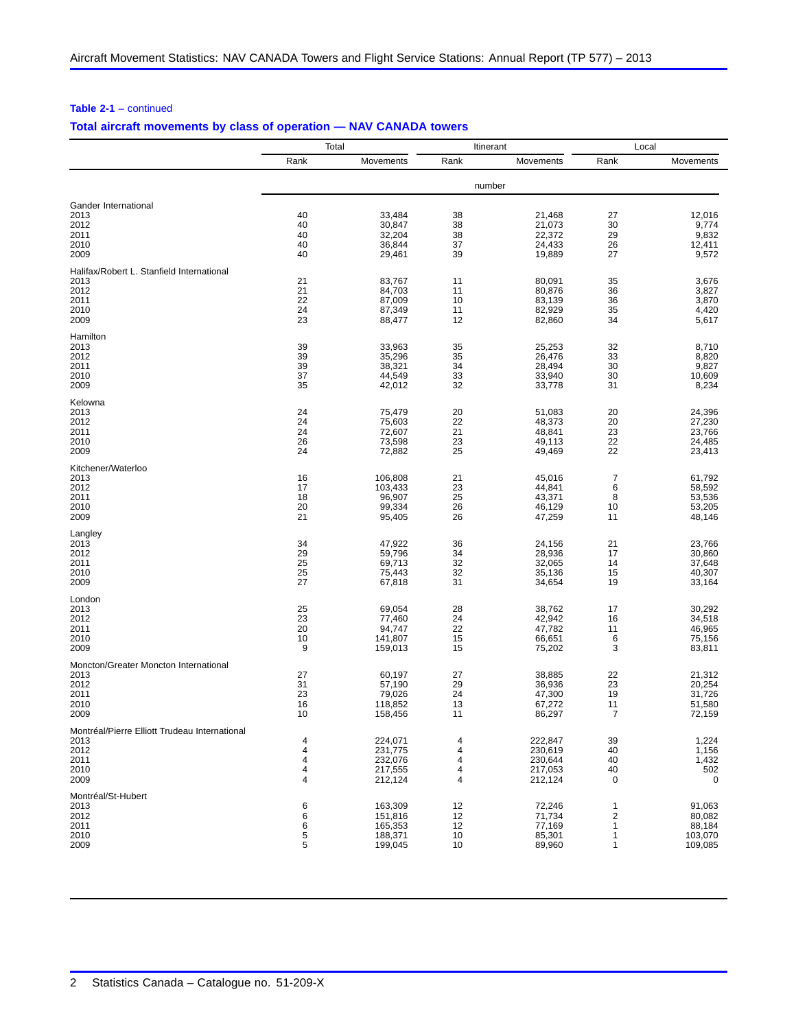|                                               |          | Total              |          | Itinerant        | Local                |                  |
|-----------------------------------------------|----------|--------------------|----------|------------------|----------------------|------------------|
|                                               | Rank     | Movements          | Rank     | Movements        | Rank                 | Movements        |
|                                               |          |                    |          | number           |                      |                  |
| Gander International                          |          |                    |          |                  |                      |                  |
| 2013                                          | 40       | 33,484             | 38       | 21,468           | 27                   | 12,016           |
| 2012                                          | 40       | 30,847             | 38       | 21,073           | 30                   | 9,774            |
| 2011                                          | 40       | 32,204             | 38       | 22,372           | 29                   | 9,832            |
| 2010<br>2009                                  | 40<br>40 | 36,844<br>29,461   | 37<br>39 | 24,433<br>19,889 | 26<br>27             | 12,411<br>9,572  |
| Halifax/Robert L. Stanfield International     |          |                    |          |                  |                      |                  |
| 2013                                          | 21       | 83,767             | 11       | 80,091           | 35                   | 3,676            |
| 2012                                          | 21       | 84,703             | 11       | 80,876           | 36                   | 3,827            |
| 2011                                          | 22       | 87,009             | 10       | 83,139           | 36                   | 3,870            |
| 2010                                          | 24       | 87,349             | 11       | 82,929           | 35                   | 4,420            |
| 2009                                          | 23       | 88,477             | 12       | 82,860           | 34                   | 5,617            |
| Hamilton<br>2013                              | 39       | 33,963             | 35       | 25,253           | 32                   | 8,710            |
| 2012                                          | 39       | 35,296             | 35       | 26,476           | 33                   | 8,820            |
| 2011                                          | 39       | 38,321             | 34       | 28,494           | 30                   | 9,827            |
| 2010                                          | 37       | 44,549             | 33       | 33,940           | 30                   | 10,609           |
| 2009                                          | 35       | 42,012             | 32       | 33,778           | 31                   | 8,234            |
| Kelowna                                       |          |                    |          |                  |                      |                  |
| 2013                                          | 24       | 75,479             | 20       | 51,083           | 20                   | 24,396           |
| 2012                                          | 24       | 75,603             | 22       | 48,373           | 20                   | 27,230           |
| 2011                                          | 24       | 72,607             | 21       | 48,841           | 23                   | 23,766           |
| 2010                                          | 26       | 73,598             | 23       | 49,113           | 22                   | 24,485           |
| 2009                                          | 24       | 72,882             | 25       | 49,469           | 22                   | 23,413           |
| Kitchener/Waterloo                            | 16       |                    |          | 45,016           | 7                    |                  |
| 2013<br>2012                                  | 17       | 106,808<br>103,433 | 21<br>23 | 44,841           | 6                    | 61,792<br>58,592 |
| 2011                                          | 18       | 96,907             | 25       | 43,371           | 8                    | 53,536           |
| 2010                                          | 20       | 99,334             | 26       | 46,129           | 10                   | 53,205           |
| 2009                                          | 21       | 95,405             | 26       | 47,259           | 11                   | 48,146           |
| Langley                                       |          |                    |          |                  |                      |                  |
| 2013                                          | 34       | 47,922             | 36       | 24,156           | 21                   | 23,766           |
| 2012                                          | 29       | 59,796             | 34       | 28,936           | 17                   | 30,860           |
| 2011                                          | 25       | 69,713             | 32       | 32,065           | 14                   | 37,648           |
| 2010                                          | 25       | 75,443             | 32       | 35,136           | 15                   | 40,307           |
| 2009                                          | 27       | 67,818             | 31       | 34,654           | 19                   | 33,164           |
| London<br>2013                                | 25       | 69,054             | 28       | 38,762           | 17                   | 30,292           |
| 2012                                          | 23       | 77,460             | 24       | 42,942           | 16                   | 34,518           |
| 2011                                          | 20       | 94,747             | 22       | 47,782           | 11                   | 46,965           |
| 2010                                          | 10       | 141,807            | 15       | 66,651           | 6                    | 75,156           |
| 2009                                          | 9        | 159,013            | 15       | 75,202           | 3                    | 83,811           |
| Moncton/Greater Moncton International         |          |                    |          |                  |                      |                  |
| 2013                                          | 27       | 60,197             | 27       | 38,885           | 22                   | 21,312           |
| 2012                                          | 31       | 57,190             | 29       | 36.936           | 23                   | 20,254           |
| 2011                                          | 23       | 79,026             | 24       | 47,300           | 19                   | 31,726           |
| 2010<br>2009                                  | 16<br>10 | 118,852<br>158,456 | 13<br>11 | 67,272<br>86,297 | 11<br>$\overline{7}$ | 51,580<br>72,159 |
| Montréal/Pierre Elliott Trudeau International |          |                    |          |                  |                      |                  |
| 2013                                          | 4        | 224,071            | 4        | 222,847          | 39                   | 1,224            |
| 2012                                          | 4        | 231,775            | 4        | 230,619          | 40                   | 1,156            |
| 2011                                          | 4        | 232,076            | 4        | 230,644          | 40                   | 1,432            |
| 2010                                          | 4        | 217,555            | 4        | 217,053          | 40                   | 502              |
| 2009                                          | 4        | 212,124            | 4        | 212,124          | 0                    | 0                |
| Montréal/St-Hubert                            | 6        | 163,309            | 12       | 72,246           | 1                    | 91,063           |
| 2013<br>2012                                  | 6        | 151,816            | 12       | 71,734           | $\overline{2}$       | 80,082           |
| 2011                                          | 6        | 165,353            | 12       | 77,169           | 1                    | 88,184           |
| 2010                                          | 5        | 188,371            | 10       | 85,301           | 1                    | 103,070          |
| 2009                                          | 5        | 199,045            | 10       | 89,960           | 1                    | 109,085          |
|                                               |          |                    |          |                  |                      |                  |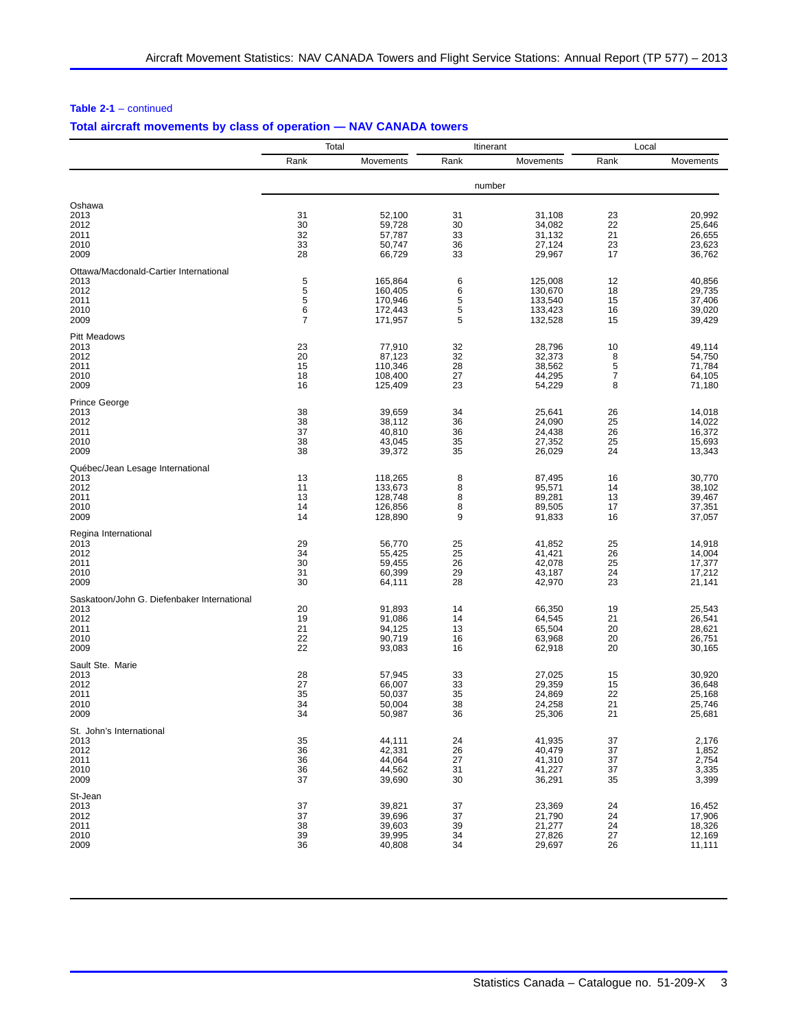|                                             | Total    |                    | Itinerant |                    | Local          |                  |
|---------------------------------------------|----------|--------------------|-----------|--------------------|----------------|------------------|
|                                             | Rank     | Movements          | Rank      | Movements          | Rank           | Movements        |
|                                             |          |                    |           | number             |                |                  |
| Oshawa                                      |          |                    |           |                    |                |                  |
| 2013                                        | 31       | 52,100             | 31        | 31,108             | 23             | 20,992           |
| 2012                                        | 30       | 59,728             | 30        | 34,082             | 22             | 25,646           |
| 2011                                        | 32       | 57,787             | 33        | 31,132             | 21             | 26,655           |
| 2010<br>2009                                | 33<br>28 | 50,747<br>66,729   | 36<br>33  | 27,124<br>29,967   | 23<br>17       | 23,623<br>36,762 |
| Ottawa/Macdonald-Cartier International      |          |                    |           |                    |                |                  |
| 2013                                        | 5        | 165,864            | 6         | 125,008            | 12             | 40,856           |
| 2012                                        | 5        | 160,405            | 6         | 130,670            | 18             | 29,735           |
| 2011                                        | 5        | 170,946            | 5         | 133,540            | 15             | 37,406           |
| 2010<br>2009                                | 6<br>7   | 172,443<br>171,957 | 5<br>5    | 133,423<br>132,528 | 16<br>15       | 39,020<br>39,429 |
| <b>Pitt Meadows</b>                         |          |                    |           |                    |                |                  |
| 2013                                        | 23       | 77,910             | 32        | 28,796             | 10             | 49,114           |
| 2012                                        | 20       | 87,123             | 32        | 32,373             | 8              | 54,750           |
| 2011                                        | 15       | 110,346            | 28        | 38,562             | 5              | 71,784           |
| 2010                                        | 18       | 108,400            | 27        | 44,295             | $\overline{7}$ | 64,105           |
| 2009                                        | 16       | 125,409            | 23        | 54,229             | 8              | 71,180           |
| <b>Prince George</b>                        | 38       | 39,659             | 34        | 25,641             | 26             | 14,018           |
| 2013<br>2012                                | 38       | 38,112             | 36        | 24,090             | 25             | 14,022           |
| 2011                                        | 37       | 40,810             | 36        | 24,438             | 26             | 16,372           |
| 2010                                        | 38       | 43,045             | 35        | 27,352             | 25             | 15,693           |
| 2009                                        | 38       | 39,372             | 35        | 26,029             | 24             | 13,343           |
| Québec/Jean Lesage International            |          |                    |           |                    |                |                  |
| 2013                                        | 13       | 118,265            | 8         | 87,495             | 16             | 30,770           |
| 2012                                        | 11<br>13 | 133,673<br>128,748 | 8<br>8    | 95,571<br>89,281   | 14<br>13       | 38,102<br>39,467 |
| 2011<br>2010                                | 14       | 126,856            | 8         | 89,505             | 17             | 37,351           |
| 2009                                        | 14       | 128,890            | 9         | 91,833             | 16             | 37,057           |
| Regina International                        |          |                    |           |                    |                |                  |
| 2013                                        | 29       | 56,770             | 25        | 41,852             | 25             | 14,918           |
| 2012                                        | 34       | 55,425             | 25        | 41,421             | 26             | 14,004           |
| 2011                                        | 30       | 59,455             | 26<br>29  | 42,078             | 25<br>24       | 17,377           |
| 2010<br>2009                                | 31<br>30 | 60,399<br>64,111   | 28        | 43,187<br>42,970   | 23             | 17,212<br>21,141 |
| Saskatoon/John G. Diefenbaker International |          |                    |           |                    |                |                  |
| 2013                                        | 20       | 91,893             | 14        | 66,350             | 19             | 25,543           |
| 2012                                        | 19       | 91,086             | 14        | 64,545             | 21             | 26,541           |
| 2011                                        | 21       | 94,125             | 13        | 65,504             | 20             | 28,621           |
| 2010<br>2009                                | 22<br>22 | 90,719<br>93,083   | 16<br>16  | 63,968<br>62,918   | 20<br>20       | 26,751<br>30,165 |
|                                             |          |                    |           |                    |                |                  |
| Sault Ste. Marie<br>2013                    | 28       | 57,945             | 33        | 27,025             | 15             | 30,920           |
| 2012                                        | 27       | 66,007             | 33        | 29,359             | 15             | 36,648           |
| 2011                                        | 35       | 50,037             | 35        | 24,869             | 22             | 25,168           |
| 2010                                        | 34       | 50,004             | 38        | 24,258             | 21             | 25,746           |
| 2009                                        | 34       | 50,987             | 36        | 25,306             | 21             | 25,681           |
| St. John's International                    |          |                    |           |                    |                |                  |
| 2013                                        | 35<br>36 | 44,111             | 24        | 41,935             | 37<br>37       | 2,176            |
| 2012<br>2011                                | 36       | 42,331<br>44,064   | 26<br>27  | 40,479<br>41,310   | 37             | 1,852<br>2,754   |
| 2010                                        | 36       | 44,562             | 31        | 41,227             | 37             | 3,335            |
| 2009                                        | 37       | 39,690             | 30        | 36,291             | 35             | 3,399            |
| St-Jean                                     |          |                    |           |                    |                |                  |
| 2013                                        | 37       | 39,821             | 37        | 23,369             | 24             | 16,452           |
| 2012                                        | 37<br>38 | 39,696             | 37        | 21,790             | 24<br>24       | 17,906<br>18,326 |
| 2011<br>2010                                | 39       | 39,603<br>39,995   | 39<br>34  | 21,277<br>27,826   | 27             | 12,169           |
| 2009                                        | 36       | 40,808             | 34        | 29,697             | 26             | 11,111           |
|                                             |          |                    |           |                    |                |                  |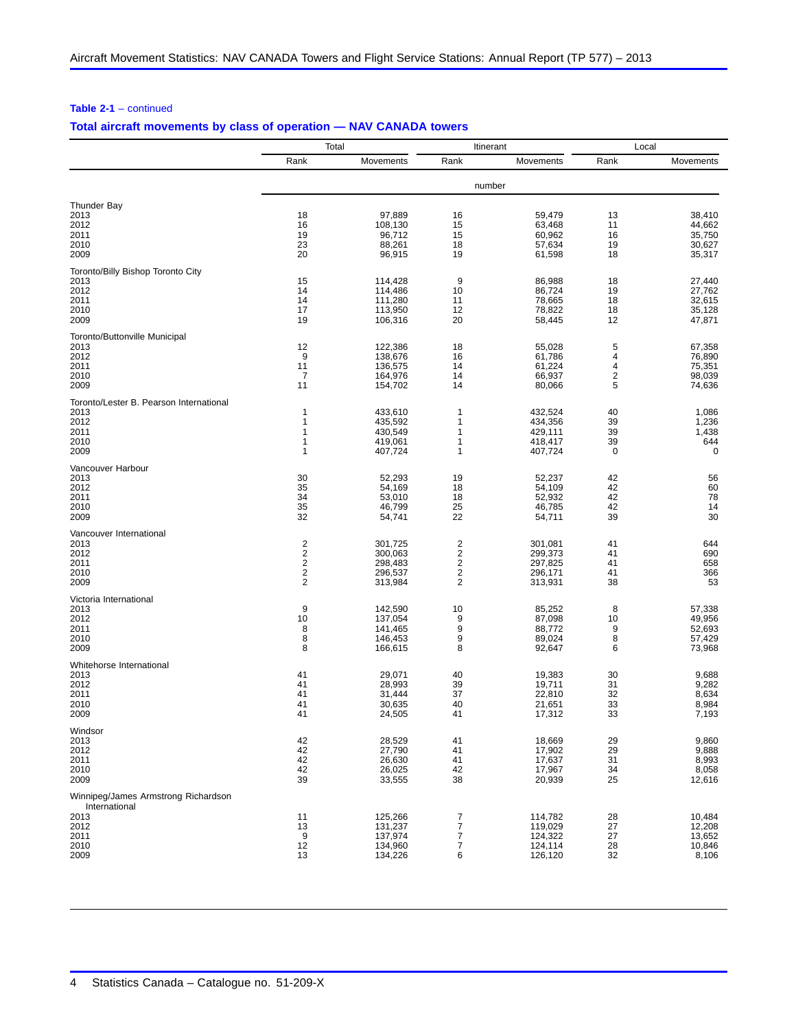|                                                 | Total                                              |                    | Itinerant                    |                    | Local                   |                  |
|-------------------------------------------------|----------------------------------------------------|--------------------|------------------------------|--------------------|-------------------------|------------------|
|                                                 | Rank                                               | Movements          | Rank                         | Movements          | Rank                    | Movements        |
|                                                 |                                                    |                    |                              | number             |                         |                  |
| <b>Thunder Bay</b>                              |                                                    |                    |                              |                    |                         |                  |
| 2013                                            | 18                                                 | 97,889             | 16                           | 59,479             | 13                      | 38,410           |
| 2012                                            | 16                                                 | 108,130            | 15                           | 63,468             | 11                      | 44,662           |
| 2011                                            | 19                                                 | 96,712             | 15                           | 60,962             | 16                      | 35,750           |
| 2010<br>2009                                    | 23<br>20                                           | 88,261<br>96,915   | 18<br>19                     | 57,634<br>61,598   | 19<br>18                | 30,627<br>35,317 |
| Toronto/Billy Bishop Toronto City               |                                                    |                    |                              |                    |                         |                  |
| 2013                                            | 15                                                 | 114,428            | 9                            | 86,988             | 18                      | 27,440           |
| 2012                                            | 14                                                 | 114,486            | 10                           | 86,724             | 19                      | 27.762           |
| 2011                                            | 14                                                 | 111,280            | 11                           | 78,665             | 18                      | 32,615           |
| 2010<br>2009                                    | 17<br>19                                           | 113,950<br>106,316 | 12<br>20                     | 78.822<br>58,445   | 18<br>12                | 35,128<br>47,871 |
| Toronto/Buttonville Municipal                   |                                                    |                    |                              |                    |                         |                  |
| 2013                                            | 12                                                 | 122,386            | 18                           | 55,028             | 5                       | 67,358           |
| 2012                                            | 9                                                  | 138,676            | 16                           | 61,786             | 4                       | 76,890           |
| 2011                                            | 11                                                 | 136,575            | 14                           | 61,224             | 4                       | 75,351           |
| 2010                                            | $\overline{7}$                                     | 164,976            | 14                           | 66,937             | $\overline{\mathbf{c}}$ | 98,039           |
| 2009                                            | 11                                                 | 154,702            | 14                           | 80,066             | 5                       | 74,636           |
| Toronto/Lester B. Pearson International<br>2013 | 1                                                  | 433,610            | 1                            | 432,524            | 40                      | 1,086            |
| 2012                                            | 1                                                  | 435,592            | 1                            | 434,356            | 39                      | 1,236            |
| 2011                                            | 1                                                  | 430,549            | 1                            | 429,111            | 39                      | 1,438            |
| 2010                                            | 1                                                  | 419,061            | 1                            | 418,417            | 39                      | 644              |
| 2009                                            | 1                                                  | 407,724            | 1                            | 407,724            | 0                       | 0                |
| Vancouver Harbour                               |                                                    |                    |                              |                    |                         |                  |
| 2013<br>2012                                    | 30<br>35                                           | 52,293<br>54,169   | 19<br>18                     | 52,237<br>54,109   | 42<br>42                | 56<br>60         |
| 2011                                            | 34                                                 | 53,010             | 18                           | 52,932             | 42                      | 78               |
| 2010                                            | 35                                                 | 46,799             | 25                           | 46,785             | 42                      | 14               |
| 2009                                            | 32                                                 | 54,741             | 22                           | 54,711             | 39                      | 30               |
| Vancouver International                         |                                                    |                    |                              |                    |                         |                  |
| 2013                                            | $\overline{\mathbf{c}}$                            | 301,725            | $\overline{2}$               | 301,081            | 41                      | 644              |
| 2012<br>2011                                    | $\overline{\mathbf{c}}$<br>$\overline{\mathbf{c}}$ | 300,063<br>298,483 | 2<br>$\overline{\mathbf{c}}$ | 299,373<br>297,825 | 41<br>41                | 690<br>658       |
| 2010                                            | 2                                                  | 296,537            | 2                            | 296,171            | 41                      | 366              |
| 2009                                            | $\overline{2}$                                     | 313,984            | $\overline{2}$               | 313,931            | 38                      | 53               |
| Victoria International                          |                                                    |                    |                              |                    |                         |                  |
| 2013                                            | 9                                                  | 142,590            | 10                           | 85,252             | 8                       | 57,338           |
| 2012                                            | 10<br>8                                            | 137,054            | 9<br>9                       | 87,098             | 10                      | 49,956           |
| 2011<br>2010                                    | 8                                                  | 141,465<br>146,453 | 9                            | 88,772<br>89,024   | 9<br>8                  | 52,693<br>57,429 |
| 2009                                            | 8                                                  | 166,615            | 8                            | 92,647             | 6                       | 73,968           |
| Whitehorse International                        |                                                    |                    |                              |                    |                         |                  |
| 2013                                            | 41                                                 | 29,071             | 40                           | 19,383             | 30                      | 9,688            |
| 2012                                            | 41                                                 | 28,993             | 39                           | 19,711             | 31                      | 9,282            |
| 2011<br>2010                                    | 41<br>41                                           | 31,444<br>30,635   | 37<br>40                     | 22.810<br>21,651   | 32<br>33                | 8,634<br>8,984   |
| 2009                                            | 41                                                 | 24,505             | 41                           | 17,312             | 33                      | 7,193            |
| Windsor                                         |                                                    |                    |                              |                    |                         |                  |
| 2013                                            | 42                                                 | 28,529             | 41                           | 18,669             | 29                      | 9,860            |
| 2012                                            | 42                                                 | 27,790             | 41                           | 17,902             | 29                      | 9,888            |
| 2011                                            | 42<br>42                                           | 26,630             | 41                           | 17,637             | 31                      | 8,993            |
| 2010<br>2009                                    | 39                                                 | 26,025<br>33,555   | 42<br>38                     | 17,967<br>20,939   | 34<br>25                | 8,058<br>12,616  |
| Winnipeg/James Armstrong Richardson             |                                                    |                    |                              |                    |                         |                  |
| International                                   |                                                    |                    |                              |                    |                         |                  |
| 2013<br>2012                                    | 11<br>13                                           | 125,266<br>131,237 | $\overline{7}$<br>7          | 114,782<br>119,029 | 28<br>27                | 10,484<br>12,208 |
| 2011                                            | 9                                                  | 137,974            | $\overline{7}$               | 124,322            | 27                      | 13,652           |
| 2010                                            | 12                                                 | 134,960            | $\overline{7}$               | 124,114            | 28                      | 10,846           |
| 2009                                            | 13                                                 | 134,226            | 6                            | 126,120            | 32                      | 8,106            |
|                                                 |                                                    |                    |                              |                    |                         |                  |